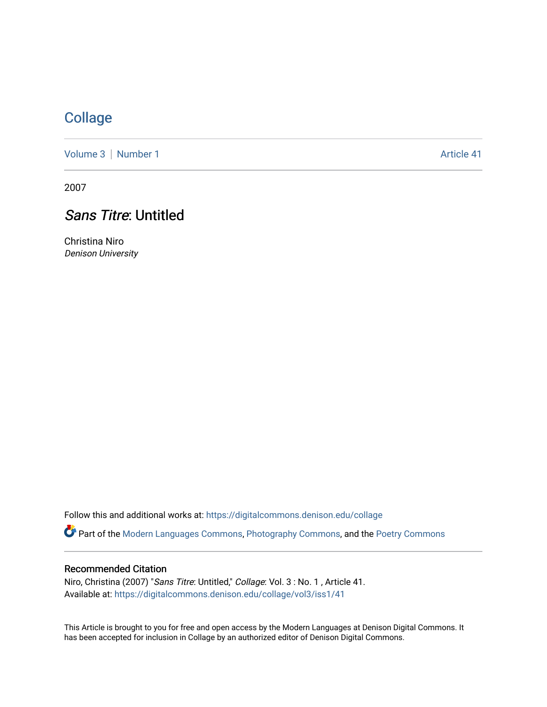## **[Collage](https://digitalcommons.denison.edu/collage)**

[Volume 3](https://digitalcommons.denison.edu/collage/vol3) | [Number 1](https://digitalcommons.denison.edu/collage/vol3/iss1) Article 41

2007

# Sans Titre: Untitled

Christina Niro Denison University

Follow this and additional works at: [https://digitalcommons.denison.edu/collage](https://digitalcommons.denison.edu/collage?utm_source=digitalcommons.denison.edu%2Fcollage%2Fvol3%2Fiss1%2F41&utm_medium=PDF&utm_campaign=PDFCoverPages) 

Part of the [Modern Languages Commons,](http://network.bepress.com/hgg/discipline/1130?utm_source=digitalcommons.denison.edu%2Fcollage%2Fvol3%2Fiss1%2F41&utm_medium=PDF&utm_campaign=PDFCoverPages) [Photography Commons](http://network.bepress.com/hgg/discipline/1142?utm_source=digitalcommons.denison.edu%2Fcollage%2Fvol3%2Fiss1%2F41&utm_medium=PDF&utm_campaign=PDFCoverPages), and the [Poetry Commons](http://network.bepress.com/hgg/discipline/1153?utm_source=digitalcommons.denison.edu%2Fcollage%2Fvol3%2Fiss1%2F41&utm_medium=PDF&utm_campaign=PDFCoverPages)

#### Recommended Citation

Niro, Christina (2007) "Sans Titre: Untitled," Collage: Vol. 3 : No. 1 , Article 41. Available at: [https://digitalcommons.denison.edu/collage/vol3/iss1/41](https://digitalcommons.denison.edu/collage/vol3/iss1/41?utm_source=digitalcommons.denison.edu%2Fcollage%2Fvol3%2Fiss1%2F41&utm_medium=PDF&utm_campaign=PDFCoverPages)

This Article is brought to you for free and open access by the Modern Languages at Denison Digital Commons. It has been accepted for inclusion in Collage by an authorized editor of Denison Digital Commons.